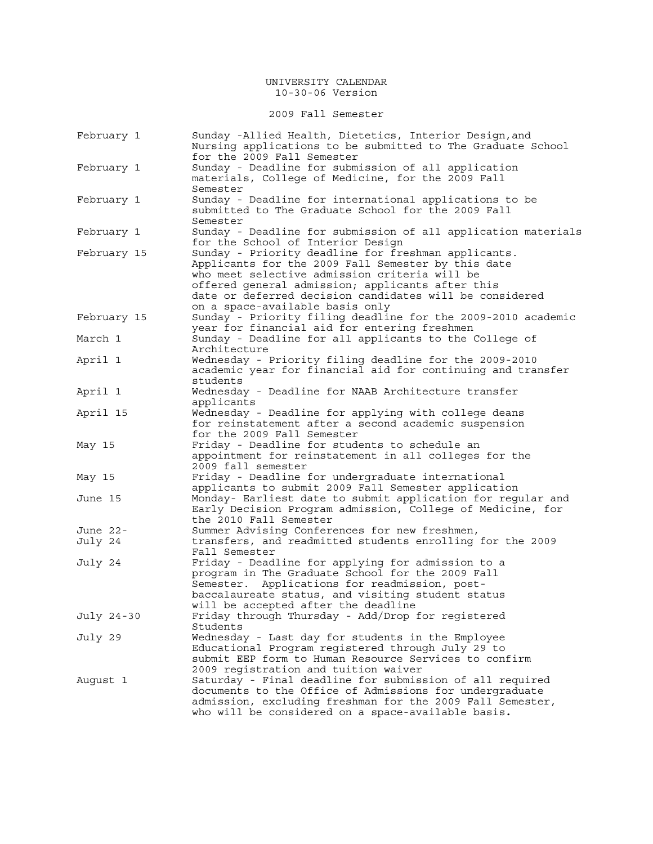2009 Fall Semester

| February 1  | Sunday -Allied Health, Dietetics, Interior Design, and<br>Nursing applications to be submitted to The Graduate School<br>for the 2009 Fall Semester                                                                                                                                                          |
|-------------|--------------------------------------------------------------------------------------------------------------------------------------------------------------------------------------------------------------------------------------------------------------------------------------------------------------|
| February 1  | Sunday - Deadline for submission of all application<br>materials, College of Medicine, for the 2009 Fall<br>Semester                                                                                                                                                                                         |
| February 1  | Sunday - Deadline for international applications to be<br>submitted to The Graduate School for the 2009 Fall<br>Semester                                                                                                                                                                                     |
| February 1  | Sunday - Deadline for submission of all application materials<br>for the School of Interior Design                                                                                                                                                                                                           |
| February 15 | Sunday - Priority deadline for freshman applicants.<br>Applicants for the 2009 Fall Semester by this date<br>who meet selective admission criteria will be<br>offered general admission; applicants after this<br>date or deferred decision candidates will be considered<br>on a space-available basis only |
| February 15 | Sunday - Priority filing deadline for the 2009-2010 academic<br>year for financial aid for entering freshmen                                                                                                                                                                                                 |
| March 1     | Sunday - Deadline for all applicants to the College of<br>Architecture                                                                                                                                                                                                                                       |
| April 1     | Wednesday - Priority filing deadline for the 2009-2010<br>academic year for financial aid for continuing and transfer<br>students                                                                                                                                                                            |
| April 1     | Wednesday - Deadline for NAAB Architecture transfer<br>applicants                                                                                                                                                                                                                                            |
| April 15    | Wednesday - Deadline for applying with college deans<br>for reinstatement after a second academic suspension<br>for the 2009 Fall Semester                                                                                                                                                                   |
| May 15      | Friday - Deadline for students to schedule an<br>appointment for reinstatement in all colleges for the<br>2009 fall semester                                                                                                                                                                                 |
| May 15      | Friday - Deadline for undergraduate international<br>applicants to submit 2009 Fall Semester application                                                                                                                                                                                                     |
| June 15     | Monday- Earliest date to submit application for regular and<br>Early Decision Program admission, College of Medicine, for<br>the 2010 Fall Semester                                                                                                                                                          |
| June 22-    | Summer Advising Conferences for new freshmen,                                                                                                                                                                                                                                                                |
| July 24     | transfers, and readmitted students enrolling for the 2009<br>Fall Semester                                                                                                                                                                                                                                   |
| July 24     | Friday - Deadline for applying for admission to a<br>program in The Graduate School for the 2009 Fall<br>Applications for readmission, post-<br>Semester.<br>baccalaureate status, and visiting student status<br>will be accepted after the deadline                                                        |
| July 24-30  | Friday through Thursday - Add/Drop for registered<br>Students                                                                                                                                                                                                                                                |
| July 29     | Wednesday - Last day for students in the Employee<br>Educational Program registered through July 29 to<br>submit EEP form to Human Resource Services to confirm<br>2009 registration and tuition waiver                                                                                                      |
| August 1    | Saturday - Final deadline for submission of all required<br>documents to the Office of Admissions for undergraduate<br>admission, excluding freshman for the 2009 Fall Semester,<br>who will be considered on a space-available basis.                                                                       |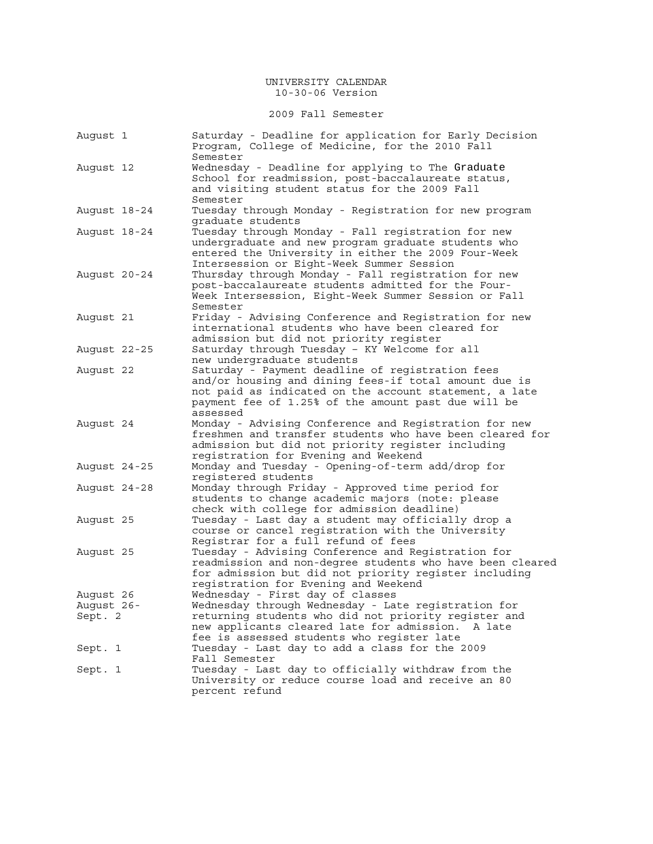## 2009 Fall Semester

| August 1                           | Saturday - Deadline for application for Early Decision<br>Program, College of Medicine, for the 2010 Fall<br>Semester                                                                                                                                 |
|------------------------------------|-------------------------------------------------------------------------------------------------------------------------------------------------------------------------------------------------------------------------------------------------------|
| August 12                          | Wednesday - Deadline for applying to The Graduate<br>School for readmission, post-baccalaureate status,<br>and visiting student status for the 2009 Fall<br>Semester                                                                                  |
| August 18-24                       | Tuesday through Monday - Registration for new program<br>graduate students                                                                                                                                                                            |
| August 18-24                       | Tuesday through Monday - Fall registration for new<br>undergraduate and new program graduate students who<br>entered the University in either the 2009 Four-Week<br>Intersession or Eight-Week Summer Session                                         |
| August 20-24                       | Thursday through Monday - Fall registration for new<br>post-baccalaureate students admitted for the Four-<br>Week Intersession, Eight-Week Summer Session or Fall<br>Semester                                                                         |
| August 21                          | Friday - Advising Conference and Registration for new<br>international students who have been cleared for<br>admission but did not priority register                                                                                                  |
| August 22-25                       | Saturday through Tuesday - KY Welcome for all<br>new undergraduate students                                                                                                                                                                           |
| August 22                          | Saturday - Payment deadline of registration fees<br>and/or housing and dining fees-if total amount due is<br>not paid as indicated on the account statement, a late<br>payment fee of 1.25% of the amount past due will be<br>assessed                |
| August 24                          | Monday - Advising Conference and Registration for new<br>freshmen and transfer students who have been cleared for<br>admission but did not priority register including<br>registration for Evening and Weekend                                        |
| August 24-25                       | Monday and Tuesday - Opening-of-term add/drop for<br>reqistered students                                                                                                                                                                              |
| August 24-28                       | Monday through Friday - Approved time period for<br>students to change academic majors (note: please<br>check with college for admission deadline)                                                                                                    |
| August 25                          | Tuesday - Last day a student may officially drop a<br>course or cancel registration with the University<br>Registrar for a full refund of fees                                                                                                        |
| August 25                          | Tuesday - Advising Conference and Registration for<br>readmission and non-degree students who have been cleared<br>for admission but did not priority register including<br>registration for Evening and Weekend                                      |
| August 26<br>August 26-<br>Sept. 2 | Wednesday - First day of classes<br>Wednesday through Wednesday - Late registration for<br>returning students who did not priority register and<br>new applicants cleared late for admission.<br>A late<br>fee is assessed students who register late |
| Sept. 1                            | Tuesday - Last day to add a class for the 2009<br>Fall Semester                                                                                                                                                                                       |
| Sept. 1                            | Tuesday - Last day to officially withdraw from the<br>University or reduce course load and receive an 80<br>percent refund                                                                                                                            |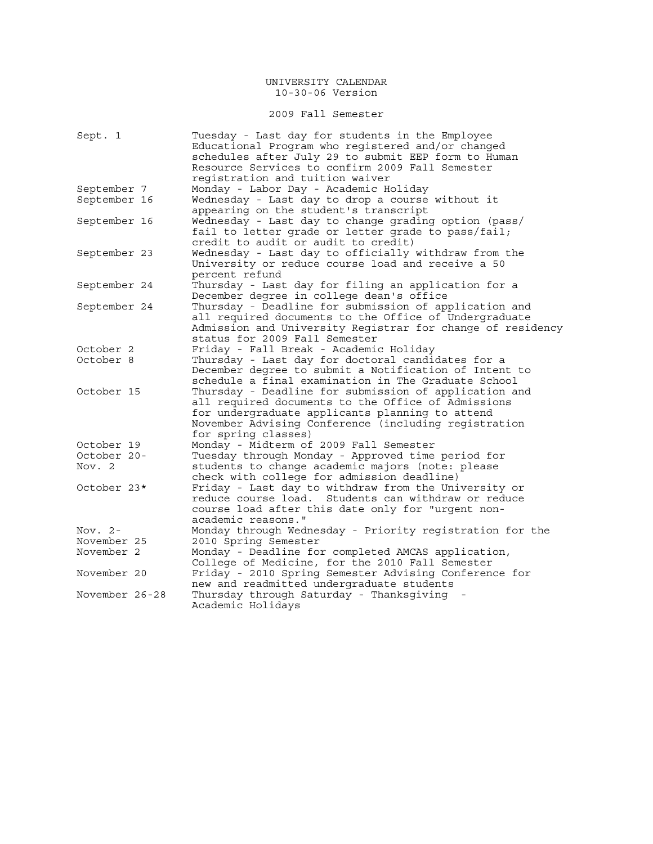## 2009 Fall Semester

| Sept. 1        | Tuesday - Last day for students in the Employee<br>Educational Program who registered and/or changed |
|----------------|------------------------------------------------------------------------------------------------------|
|                | schedules after July 29 to submit EEP form to Human                                                  |
|                | Resource Services to confirm 2009 Fall Semester                                                      |
|                | registration and tuition waiver                                                                      |
| September 7    | Monday - Labor Day - Academic Holiday                                                                |
| September 16   | Wednesday - Last day to drop a course without it                                                     |
|                | appearing on the student's transcript                                                                |
| September 16   | Wednesday - Last day to change grading option (pass/                                                 |
|                | fail to letter grade or letter grade to pass/fail;                                                   |
|                | credit to audit or audit to credit)                                                                  |
| September 23   | Wednesday - Last day to officially withdraw from the                                                 |
|                | University or reduce course load and receive a 50                                                    |
|                | percent refund                                                                                       |
| September 24   | Thursday - Last day for filing an application for a                                                  |
|                | December degree in college dean's office                                                             |
| September 24   | Thursday - Deadline for submission of application and                                                |
|                | all required documents to the Office of Undergraduate                                                |
|                | Admission and University Registrar for change of residency                                           |
|                | status for 2009 Fall Semester                                                                        |
| October 2      | Friday - Fall Break - Academic Holiday                                                               |
| October 8      | Thursday - Last day for doctoral candidates for a                                                    |
|                | December degree to submit a Notification of Intent to                                                |
|                | schedule a final examination in The Graduate School                                                  |
| October 15     | Thursday - Deadline for submission of application and                                                |
|                | all required documents to the Office of Admissions                                                   |
|                | for undergraduate applicants planning to attend                                                      |
|                | November Advising Conference (including registration                                                 |
|                | for spring classes)                                                                                  |
| October 19     | Monday - Midterm of 2009 Fall Semester                                                               |
| October 20-    | Tuesday through Monday - Approved time period for                                                    |
| Nov. 2         | students to change academic majors (note: please                                                     |
|                | check with college for admission deadline)                                                           |
| October 23*    | Friday - Last day to withdraw from the University or                                                 |
|                | reduce course load. Students can withdraw or reduce                                                  |
|                | course load after this date only for "urgent non-                                                    |
|                | academic reasons."                                                                                   |
| Nov. $2-$      | Monday through Wednesday - Priority registration for the                                             |
| November 25    | 2010 Spring Semester                                                                                 |
| November 2     | Monday - Deadline for completed AMCAS application,                                                   |
|                | College of Medicine, for the 2010 Fall Semester                                                      |
| November 20    | Friday - 2010 Spring Semester Advising Conference for                                                |
|                | new and readmitted undergraduate students                                                            |
| November 26-28 | Thursday through Saturday - Thanksgiving                                                             |
|                | Academic Holidays                                                                                    |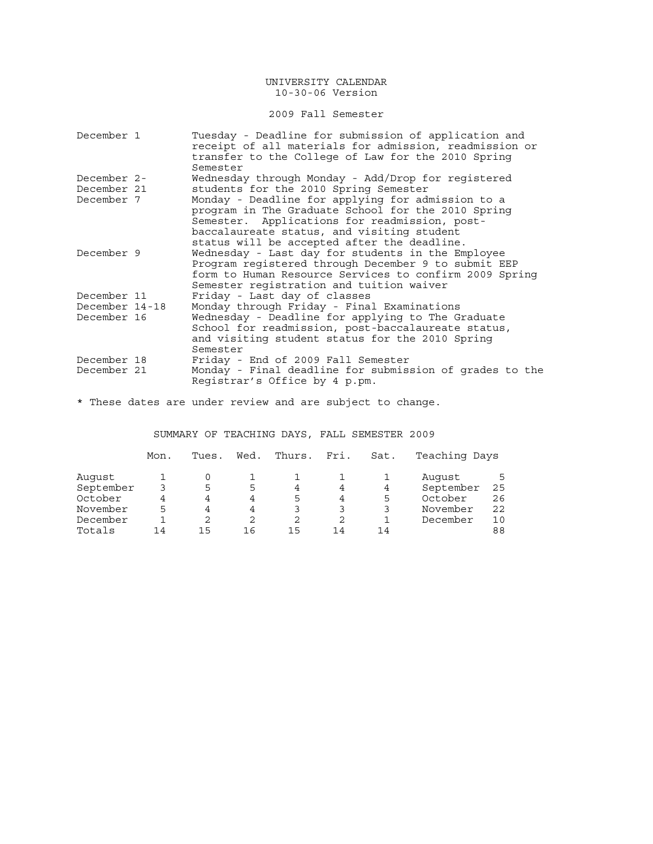## 2009 Fall Semester

| December 1     | Tuesday - Deadline for submission of application and<br>receipt of all materials for admission, readmission or<br>transfer to the College of Law for the 2010 Spring<br>Semester                                                                      |
|----------------|-------------------------------------------------------------------------------------------------------------------------------------------------------------------------------------------------------------------------------------------------------|
| December 2-    | Wednesday through Monday - Add/Drop for registered                                                                                                                                                                                                    |
| December 21    | students for the 2010 Spring Semester                                                                                                                                                                                                                 |
| December 7     | Monday - Deadline for applying for admission to a<br>program in The Graduate School for the 2010 Spring<br>Semester. Applications for readmission, post-<br>baccalaureate status, and visiting student<br>status will be accepted after the deadline. |
| December 9     | Wednesday - Last day for students in the Employee<br>Program registered through December 9 to submit EEP<br>form to Human Resource Services to confirm 2009 Spring<br>Semester registration and tuition waiver                                        |
| December 11    | Friday - Last day of classes                                                                                                                                                                                                                          |
| December 14-18 | Monday through Friday - Final Examinations                                                                                                                                                                                                            |
| December 16    | Wednesday - Deadline for applying to The Graduate<br>School for readmission, post-baccalaureate status,<br>and visiting student status for the 2010 Spring<br>Semester                                                                                |
| December 18    | Friday - End of 2009 Fall Semester                                                                                                                                                                                                                    |
| December 21    | Monday - Final deadline for submission of grades to the<br>Registrar's Office by 4 p.pm.                                                                                                                                                              |

\* These dates are under review and are subject to change.

## SUMMARY OF TEACHING DAYS, FALL SEMESTER 2009

|           | Mon. | Tues. | Wed. | Thurs. | Fri. | Sat. | Teaching Days |    |
|-----------|------|-------|------|--------|------|------|---------------|----|
| August    |      |       |      |        |      |      | Auqust        |    |
| September |      | 5     | 5    | 4      | 4    | 4    | September     | 25 |
| October   | 4    | 4     | 4    | 5      | 4    | 5    | October       | 26 |
| November  | 5    | 4     | 4    |        | 3    | 3    | November      | 22 |
| December  |      |       | 2    | 2      |      |      | December      | 10 |
| Totals    | 14   | 15    |      | 15     | 14   | 14   |               | 88 |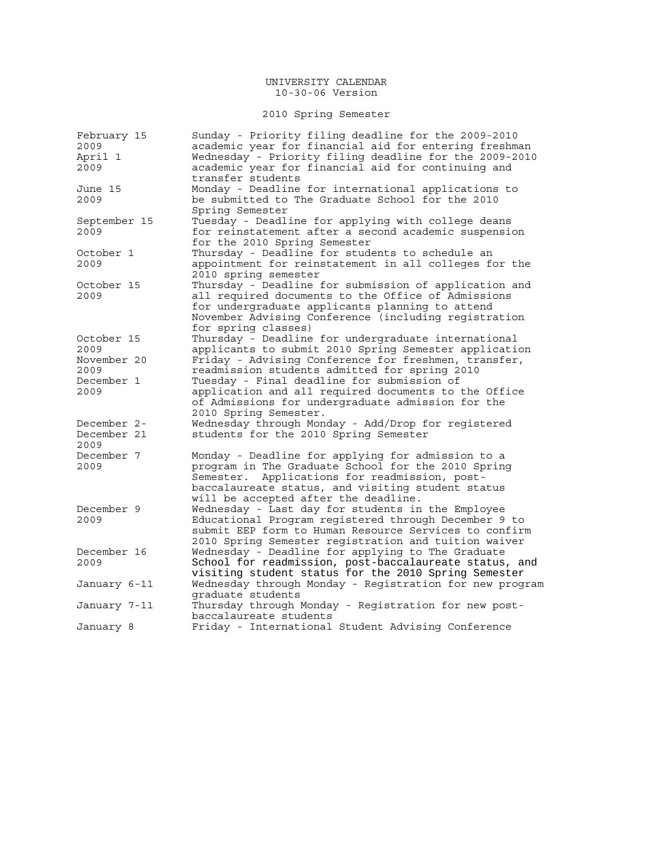# 2010 Spring Semester

| February 15  | Sunday - Priority filing deadline for the 2009-2010     |
|--------------|---------------------------------------------------------|
| 2009         | academic year for financial aid for entering freshman   |
| April 1      | Wednesday - Priority filing deadline for the 2009-2010  |
| 2009         | academic year for financial aid for continuing and      |
|              | transfer students                                       |
| June 15      | Monday - Deadline for international applications to     |
| 2009         | be submitted to The Graduate School for the 2010        |
|              | Spring Semester                                         |
| September 15 | Tuesday - Deadline for applying with college deans      |
| 2009         | for reinstatement after a second academic suspension    |
|              | for the 2010 Spring Semester                            |
| October 1    | Thursday - Deadline for students to schedule an         |
| 2009         | appointment for reinstatement in all colleges for the   |
|              | 2010 spring semester                                    |
| October 15   | Thursday - Deadline for submission of application and   |
| 2009         | all required documents to the Office of Admissions      |
|              | for undergraduate applicants planning to attend         |
|              | November Advising Conference (including registration    |
|              | for spring classes)                                     |
| October 15   | Thursday - Deadline for undergraduate international     |
| 2009         | applicants to submit 2010 Spring Semester application   |
| November 20  | Friday - Advising Conference for freshmen, transfer,    |
| 2009         | readmission students admitted for spring 2010           |
| December 1   | Tuesday - Final deadline for submission of              |
| 2009         | application and all required documents to the Office    |
|              | of Admissions for undergraduate admission for the       |
|              | 2010 Spring Semester.                                   |
| December 2-  | Wednesday through Monday - Add/Drop for registered      |
| December 21  | students for the 2010 Spring Semester                   |
| 2009         |                                                         |
| December 7   | Monday - Deadline for applying for admission to a       |
| 2009         | program in The Graduate School for the 2010 Spring      |
|              | Applications for readmission, post-<br>Semester.        |
|              | baccalaureate status, and visiting student status       |
|              | will be accepted after the deadline.                    |
| December 9   | Wednesday - Last day for students in the Employee       |
| 2009         | Educational Program registered through December 9 to    |
|              | submit EEP form to Human Resource Services to confirm   |
|              | 2010 Spring Semester registration and tuition waiver    |
| December 16  | Wednesday - Deadline for applying to The Graduate       |
| 2009         | School for readmission, post-baccalaureate status, and  |
|              | visiting student status for the 2010 Spring Semester    |
|              | Wednesday through Monday - Registration for new program |
| January 6-11 | graduate students                                       |
|              | Thursday through Monday - Registration for new post-    |
| January 7-11 | baccalaureate students                                  |
|              | Friday - International Student Advising Conference      |
| January 8    |                                                         |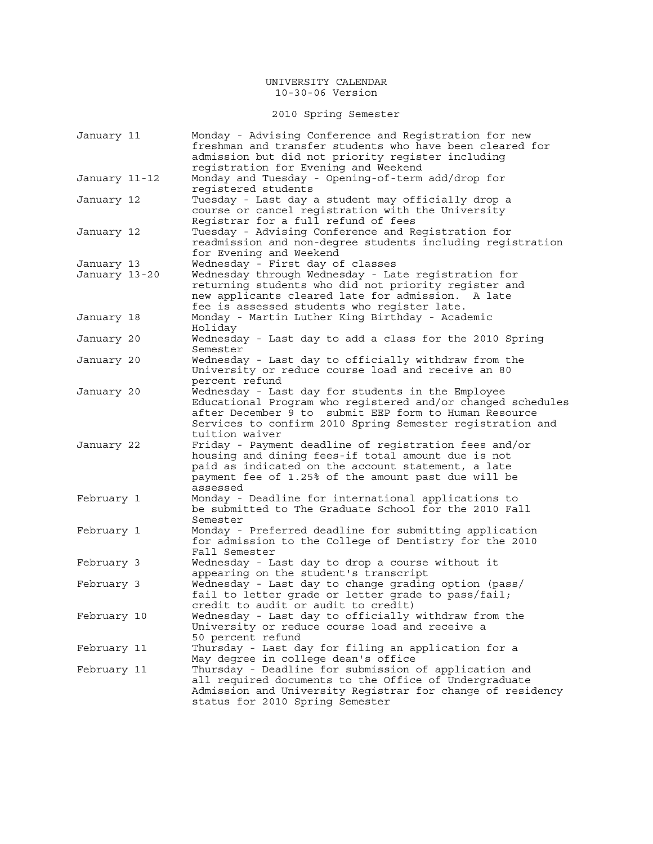2010 Spring Semester

| January 11    | Monday - Advising Conference and Registration for new<br>freshman and transfer students who have been cleared for<br>admission but did not priority register including<br>registration for Evening and Weekend                                           |
|---------------|----------------------------------------------------------------------------------------------------------------------------------------------------------------------------------------------------------------------------------------------------------|
| January 11-12 | Monday and Tuesday - Opening-of-term add/drop for<br>reqistered students                                                                                                                                                                                 |
| January 12    | Tuesday - Last day a student may officially drop a<br>course or cancel registration with the University<br>Registrar for a full refund of fees                                                                                                           |
| January 12    | Tuesday - Advising Conference and Registration for<br>readmission and non-degree students including registration<br>for Evening and Weekend                                                                                                              |
| January 13    | Wednesday - First day of classes                                                                                                                                                                                                                         |
| January 13-20 | Wednesday through Wednesday - Late registration for<br>returning students who did not priority register and<br>new applicants cleared late for admission. A late<br>fee is assessed students who register late.                                          |
| January 18    | Monday - Martin Luther King Birthday - Academic<br>Holiday                                                                                                                                                                                               |
| January 20    | Wednesday - Last day to add a class for the 2010 Spring<br>Semester                                                                                                                                                                                      |
| January 20    | Wednesday - Last day to officially withdraw from the<br>University or reduce course load and receive an 80<br>percent refund                                                                                                                             |
| January 20    | Wednesday - Last day for students in the Employee<br>Educational Program who registered and/or changed schedules<br>after December 9 to submit EEP form to Human Resource<br>Services to confirm 2010 Spring Semester registration and<br>tuition waiver |
| January 22    | Friday - Payment deadline of registration fees and/or<br>housing and dining fees-if total amount due is not<br>paid as indicated on the account statement, a late<br>payment fee of 1.25% of the amount past due will be<br>assessed                     |
| February 1    | Monday - Deadline for international applications to<br>be submitted to The Graduate School for the 2010 Fall<br>Semester                                                                                                                                 |
| February 1    | Monday - Preferred deadline for submitting application<br>for admission to the College of Dentistry for the 2010<br>Fall Semester                                                                                                                        |
| February 3    | Wednesday - Last day to drop a course without it<br>appearing on the student's transcript                                                                                                                                                                |
| February 3    | Wednesday - Last day to change grading option (pass/<br>fail to letter grade or letter grade to pass/fail;<br>credit to audit or audit to credit)                                                                                                        |
| February 10   | Wednesday - Last day to officially withdraw from the<br>University or reduce course load and receive a<br>50 percent refund                                                                                                                              |
| February 11   | Thursday - Last day for filing an application for a<br>May degree in college dean's office                                                                                                                                                               |
| February 11   | Thursday - Deadline for submission of application and<br>all required documents to the Office of Undergraduate<br>Admission and University Registrar for change of residency<br>status for 2010 Spring Semester                                          |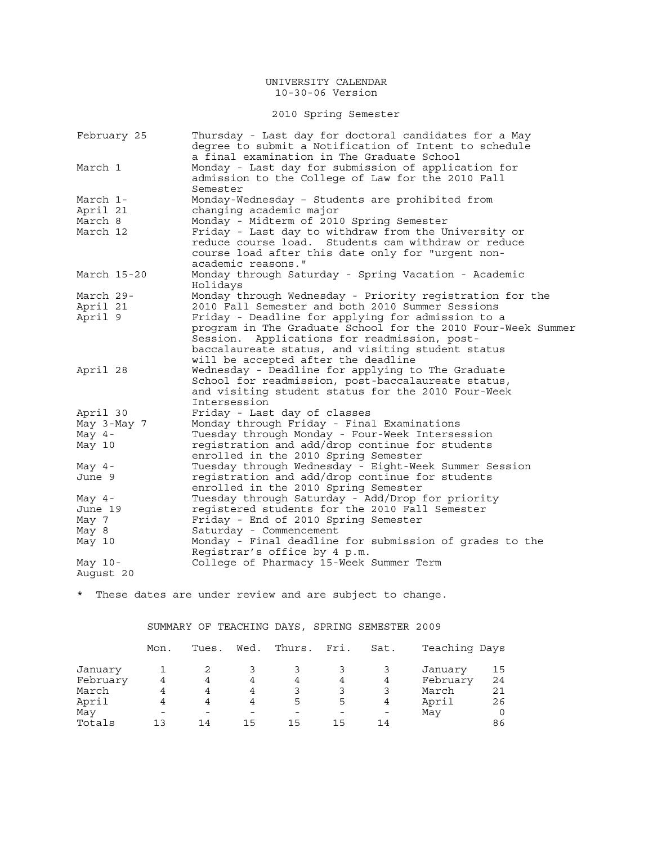## 2010 Spring Semester

| February 25 | Thursday - Last day for doctoral candidates for a May                                               |
|-------------|-----------------------------------------------------------------------------------------------------|
|             | deqree to submit a Notification of Intent to schedule<br>a final examination in The Graduate School |
| March 1     | Monday - Last day for submission of application for                                                 |
|             | admission to the College of Law for the 2010 Fall                                                   |
|             | Semester                                                                                            |
| March 1-    | Monday-Wednesday - Students are prohibited from                                                     |
|             |                                                                                                     |
| April 21    | changing academic major                                                                             |
| March 8     | Monday - Midterm of 2010 Spring Semester                                                            |
| March 12    | Friday - Last day to withdraw from the University or                                                |
|             | reduce course load. Students cam withdraw or reduce                                                 |
|             | course load after this date only for "urgent non-                                                   |
|             | academic reasons."                                                                                  |
| March 15-20 | Monday through Saturday - Spring Vacation - Academic                                                |
|             | Holidays                                                                                            |
| March 29-   | Monday through Wednesday - Priority registration for the                                            |
| April 21    | 2010 Fall Semester and both 2010 Summer Sessions                                                    |
| April 9     | Friday - Deadline for applying for admission to a                                                   |
|             | program in The Graduate School for the 2010 Four-Week Summer                                        |
|             | Session. Applications for readmission, post-                                                        |
|             | baccalaureate status, and visiting student status                                                   |
|             | will be accepted after the deadline                                                                 |
| April 28    | Wednesday - Deadline for applying to The Graduate                                                   |
|             | School for readmission, post-baccalaureate status,                                                  |
|             | and visiting student status for the 2010 Four-Week                                                  |
|             | Intersession                                                                                        |
| April 30    | Friday - Last day of classes                                                                        |
| May 3-May 7 | Monday through Friday - Final Examinations                                                          |
| May $4-$    | Tuesday through Monday - Four-Week Intersession                                                     |
| May 10      | registration and add/drop continue for students                                                     |
|             | enrolled in the 2010 Spring Semester                                                                |
| May $4-$    | Tuesday through Wednesday - Eight-Week Summer Session                                               |
| June 9      | registration and add/drop continue for students                                                     |
|             | enrolled in the 2010 Spring Semester                                                                |
| May $4-$    | Tuesday through Saturday - Add/Drop for priority                                                    |
| June 19     | registered students for the 2010 Fall Semester                                                      |
| May 7       | Friday - End of 2010 Spring Semester                                                                |
| May 8       | Saturday - Commencement                                                                             |
|             |                                                                                                     |
| May 10      | Monday - Final deadline for submission of grades to the                                             |
|             | Registrar's office by 4 p.m.                                                                        |
| May $10-$   | College of Pharmacy 15-Week Summer Term                                                             |
| August 20   |                                                                                                     |

\* These dates are under review and are subject to change.

|          |      |       |      |    |             | SUMMARY OF TEACHING DAYS, SPRING SEMESTER 2009 |               |     |
|----------|------|-------|------|----|-------------|------------------------------------------------|---------------|-----|
|          | Mon. | Tues. | Wed. |    | Thurs. Fri. | Sat.                                           | Teaching Days |     |
| January  |      | 2     | 3    |    |             | 3                                              | January       | 15  |
| February | 4    | 4     | 4    | 4  | 4           | 4                                              | February      | -24 |
| March    | 4    | 4     | 4    | 3  | 3           | 3                                              | March         | 21  |
| April    | 4    | 4     | 4    | 5  | 5           | 4                                              | April         | 26  |
| May      |      |       |      |    |             |                                                | May           |     |
| Totals   | 1 3  | 14    | 15   | 15 | 15          | 14                                             |               | 86  |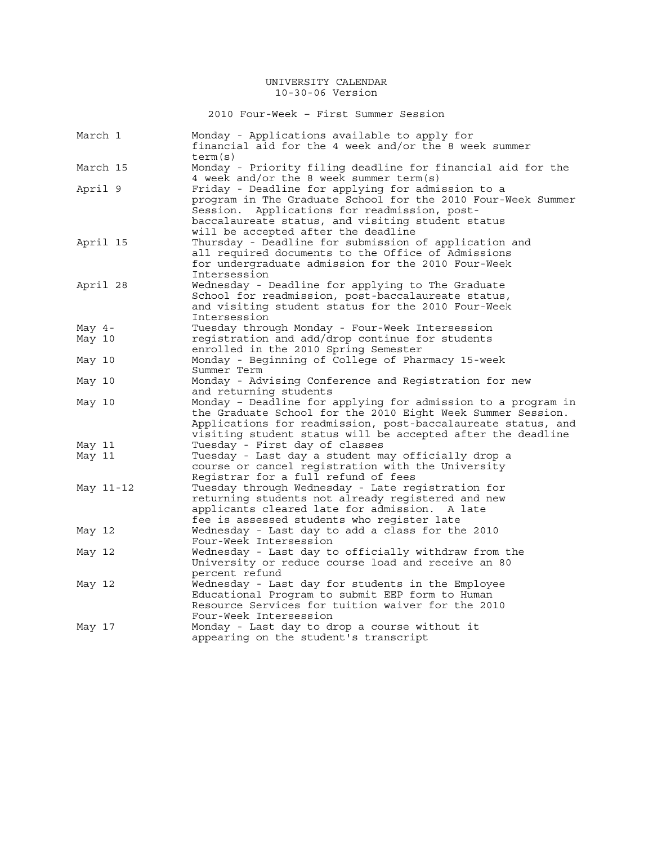2010 Four-Week – First Summer Session

| March 1   | Monday - Applications available to apply for<br>financial aid for the 4 week and/or the 8 week summer<br>term(s)                                                                                                                                                 |
|-----------|------------------------------------------------------------------------------------------------------------------------------------------------------------------------------------------------------------------------------------------------------------------|
| March 15  | Monday - Priority filing deadline for financial aid for the<br>4 week and/or the 8 week summer term(s)                                                                                                                                                           |
| April 9   | Friday - Deadline for applying for admission to a<br>program in The Graduate School for the 2010 Four-Week Summer<br>Applications for readmission, post-<br>Session.<br>baccalaureate status, and visiting student status<br>will be accepted after the deadline |
| April 15  | Thursday - Deadline for submission of application and<br>all required documents to the Office of Admissions<br>for undergraduate admission for the 2010 Four-Week<br>Intersession                                                                                |
| April 28  | Wednesday - Deadline for applying to The Graduate<br>School for readmission, post-baccalaureate status,<br>and visiting student status for the 2010 Four-Week<br>Intersession                                                                                    |
| May $4-$  | Tuesday through Monday - Four-Week Intersession                                                                                                                                                                                                                  |
| May 10    | registration and add/drop continue for students<br>enrolled in the 2010 Spring Semester                                                                                                                                                                          |
| May 10    | Monday - Beginning of College of Pharmacy 15-week<br>Summer Term                                                                                                                                                                                                 |
| May 10    | Monday - Advising Conference and Registration for new<br>and returning students                                                                                                                                                                                  |
| May 10    | Monday - Deadline for applying for admission to a program in<br>the Graduate School for the 2010 Eight Week Summer Session.<br>Applications for readmission, post-baccalaureate status, and<br>visiting student status will be accepted after the deadline       |
| May 11    | Tuesday - First day of classes                                                                                                                                                                                                                                   |
| May 11    | Tuesday - Last day a student may officially drop a<br>course or cancel registration with the University<br>Registrar for a full refund of fees                                                                                                                   |
| May 11-12 | Tuesday through Wednesday - Late registration for<br>returning students not already registered and new<br>applicants cleared late for admission.<br>A late<br>fee is assessed students who register late                                                         |
| May 12    | Wednesday - Last day to add a class for the 2010<br>Four-Week Intersession                                                                                                                                                                                       |
| May 12    | Wednesday - Last day to officially withdraw from the<br>University or reduce course load and receive an 80<br>percent refund                                                                                                                                     |
| May 12    | Wednesday - Last day for students in the Employee<br>Educational Program to submit EEP form to Human<br>Resource Services for tuition waiver for the 2010<br>Four-Week Intersession                                                                              |
| May 17    | Monday - Last day to drop a course without it<br>appearing on the student's transcript                                                                                                                                                                           |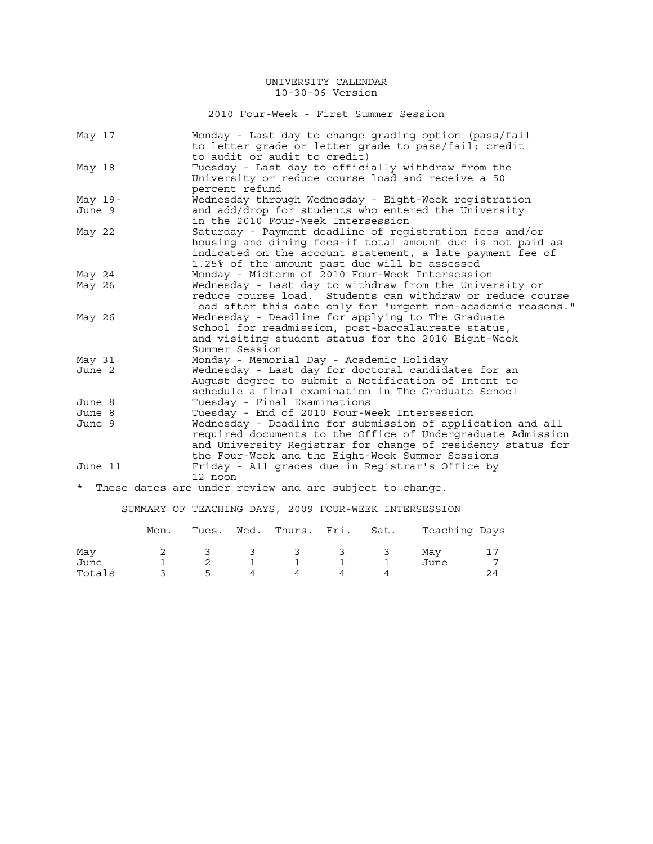2010 Four-Week - First Summer Session

|         | May 17    | Monday - Last day to change grading option (pass/fail<br>to letter grade or letter grade to pass/fail; credit<br>to audit or audit to credit)                                                                                                |
|---------|-----------|----------------------------------------------------------------------------------------------------------------------------------------------------------------------------------------------------------------------------------------------|
|         | May 18    | Tuesday - Last day to officially withdraw from the<br>University or reduce course load and receive a 50<br>percent refund                                                                                                                    |
|         | May $19-$ | Wednesday through Wednesday - Eight-Week registration                                                                                                                                                                                        |
|         | June 9    | and add/drop for students who entered the University<br>in the 2010 Four-Week Intersession                                                                                                                                                   |
|         | May 22    | Saturday - Payment deadline of registration fees and/or<br>housing and dining fees-if total amount due is not paid as<br>indicated on the account statement, a late payment fee of<br>1.25% of the amount past due will be assessed          |
|         | May 24    | Monday - Midterm of 2010 Four-Week Intersession                                                                                                                                                                                              |
|         | May 26    | Wednesday - Last day to withdraw from the University or<br>reduce course load. Students can withdraw or reduce course<br>load after this date only for "urgent non-academic reasons."                                                        |
|         | May 26    | Wednesday - Deadline for applying to The Graduate<br>School for readmission, post-baccalaureate status,<br>and visiting student status for the 2010 Eight-Week<br>Summer Session                                                             |
|         | May 31    | Monday - Memorial Day - Academic Holiday                                                                                                                                                                                                     |
|         | June 2    | Wednesday - Last day for doctoral candidates for an<br>August degree to submit a Notification of Intent to<br>schedule a final examination in The Graduate School                                                                            |
|         | June 8    | Tuesday - Final Examinations                                                                                                                                                                                                                 |
|         | June 8    | Tuesday - End of 2010 Four-Week Intersession                                                                                                                                                                                                 |
|         | June 9    | Wednesday - Deadline for submission of application and all<br>required documents to the Office of Undergraduate Admission<br>and University Registrar for change of residency status for<br>the Four-Week and the Eight-Week Summer Sessions |
|         | June 11   | Friday - All grades due in Registrar's Office by                                                                                                                                                                                             |
| $\star$ |           | 12 noon<br>These dates are under review and are subject to change.                                                                                                                                                                           |
|         |           |                                                                                                                                                                                                                                              |

SUMMARY OF TEACHING DAYS, 2009 FOUR-WEEK INTERSESSION

|        | Mon. | Tues.                   | Wed. Thurs. Fri. Sat. |  | Teaching Days |  |
|--------|------|-------------------------|-----------------------|--|---------------|--|
| May    |      | $\overline{\mathbf{3}}$ | 3 3 3 3               |  | Mav           |  |
| June   |      |                         |                       |  | June          |  |
| Totals |      | ь.                      |                       |  |               |  |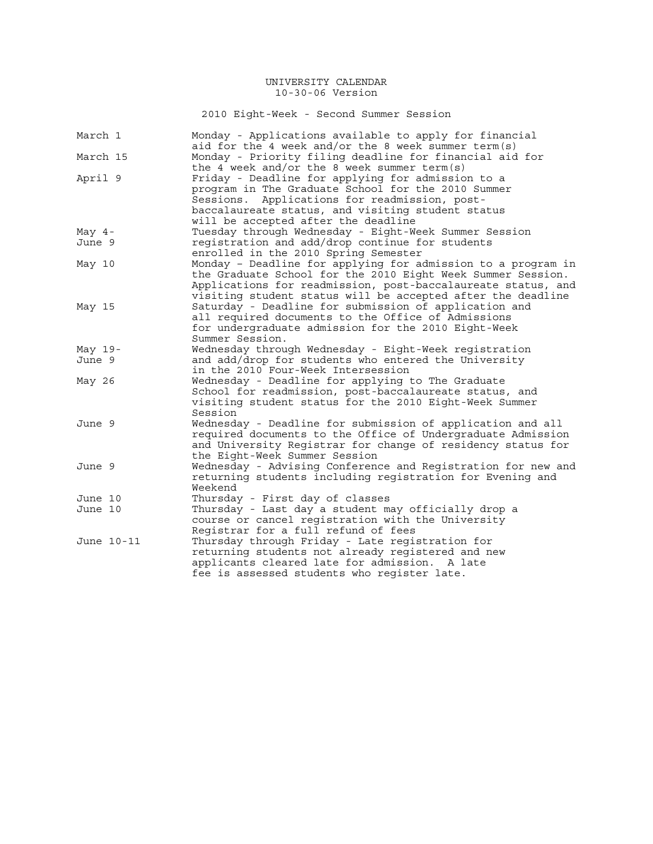2010 Eight-Week - Second Summer Session

| March 1    | Monday - Applications available to apply for financial<br>aid for the 4 week and/or the 8 week summer term(s) |
|------------|---------------------------------------------------------------------------------------------------------------|
| March 15   | Monday - Priority filing deadline for financial aid for                                                       |
|            | the 4 week and/or the 8 week summer term(s)                                                                   |
| April 9    | Friday - Deadline for applying for admission to a                                                             |
|            | program in The Graduate School for the 2010 Summer                                                            |
|            | Sessions. Applications for readmission, post-                                                                 |
|            | baccalaureate status, and visiting student status                                                             |
|            | will be accepted after the deadline                                                                           |
| May $4-$   | Tuesday through Wednesday - Eight-Week Summer Session                                                         |
| June 9     | registration and add/drop continue for students                                                               |
|            | enrolled in the 2010 Spring Semester                                                                          |
| May 10     | Monday - Deadline for applying for admission to a program in                                                  |
|            | the Graduate School for the 2010 Eight Week Summer Session.                                                   |
|            | Applications for readmission, post-baccalaureate status, and                                                  |
|            | visiting student status will be accepted after the deadline                                                   |
| May 15     | Saturday - Deadline for submission of application and                                                         |
|            | all required documents to the Office of Admissions                                                            |
|            | for undergraduate admission for the 2010 Eight-Week                                                           |
|            | Summer Session.                                                                                               |
| May $19-$  | Wednesday through Wednesday - Eight-Week registration                                                         |
| June 9     | and add/drop for students who entered the University                                                          |
|            | in the 2010 Four-Week Intersession                                                                            |
| May 26     | Wednesday - Deadline for applying to The Graduate                                                             |
|            | School for readmission, post-baccalaureate status, and                                                        |
|            | visiting student status for the 2010 Eight-Week Summer                                                        |
|            | Session                                                                                                       |
| June 9     | Wednesday - Deadline for submission of application and all                                                    |
|            | required documents to the Office of Undergraduate Admission                                                   |
|            | and University Registrar for change of residency status for                                                   |
|            | the Eight-Week Summer Session                                                                                 |
| June 9     | Wednesday - Advising Conference and Registration for new and                                                  |
|            | returning students including registration for Evening and                                                     |
|            | Weekend                                                                                                       |
| June 10    | Thursday - First day of classes                                                                               |
| June 10    | Thursday - Last day a student may officially drop a                                                           |
|            | course or cancel registration with the University                                                             |
|            | Registrar for a full refund of fees                                                                           |
| June 10-11 | Thursday through Friday - Late registration for                                                               |
|            | returning students not already registered and new                                                             |
|            | applicants cleared late for admission. A late                                                                 |
|            | fee is assessed students who register late.                                                                   |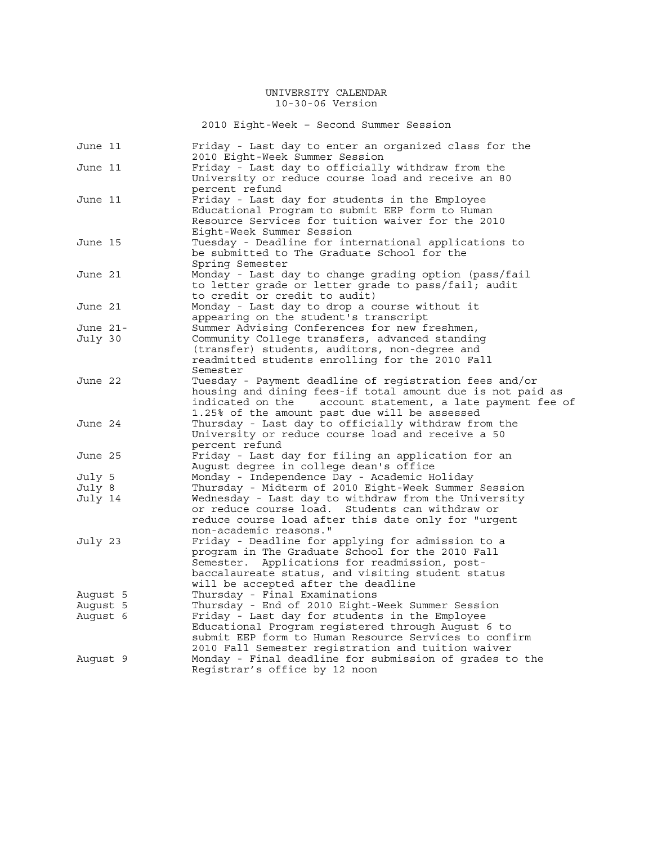2010 Eight-Week – Second Summer Session

| June 11  | Friday - Last day to enter an organized class for the<br>2010 Eight-Week Summer Session |
|----------|-----------------------------------------------------------------------------------------|
| June 11  | Friday - Last day to officially withdraw from the                                       |
|          | University or reduce course load and receive an 80                                      |
|          | percent refund                                                                          |
| June 11  | Friday - Last day for students in the Employee                                          |
|          | Educational Program to submit EEP form to Human                                         |
|          | Resource Services for tuition waiver for the 2010                                       |
|          | Eight-Week Summer Session                                                               |
| June 15  | Tuesday - Deadline for international applications to                                    |
|          | be submitted to The Graduate School for the                                             |
|          | Spring Semester                                                                         |
| June 21  | Monday - Last day to change grading option (pass/fail                                   |
|          | to letter grade or letter grade to pass/fail; audit                                     |
|          | to credit or credit to audit)                                                           |
| June 21  | Monday - Last day to drop a course without it                                           |
|          | appearing on the student's transcript                                                   |
| June 21- | Summer Advising Conferences for new freshmen,                                           |
| July 30  | Community College transfers, advanced standing                                          |
|          | (transfer) students, auditors, non-degree and                                           |
|          | readmitted students enrolling for the 2010 Fall                                         |
|          | Semester                                                                                |
| June 22  | Tuesday - Payment deadline of registration fees and/or                                  |
|          | housing and dining fees-if total amount due is not paid as                              |
|          | indicated on the<br>account statement, a late payment fee of                            |
|          | 1.25% of the amount past due will be assessed                                           |
| June 24  | Thursday - Last day to officially withdraw from the                                     |
|          | University or reduce course load and receive a 50                                       |
|          | percent refund<br>Friday - Last day for filing an application for an                    |
| June 25  | August degree in college dean's office                                                  |
| July 5   | Monday - Independence Day - Academic Holiday                                            |
| July 8   | Thursday - Midterm of 2010 Eight-Week Summer Session                                    |
| July 14  | Wednesday - Last day to withdraw from the University                                    |
|          | or reduce course load. Students can withdraw or                                         |
|          | reduce course load after this date only for "urgent                                     |
|          | non-academic reasons."                                                                  |
| July 23  | Friday - Deadline for applying for admission to a                                       |
|          | program in The Graduate School for the 2010 Fall                                        |
|          | Semester. Applications for readmission, post-                                           |
|          | baccalaureate status, and visiting student status                                       |
|          | will be accepted after the deadline                                                     |
| Auqust 5 | Thursday - Final Examinations                                                           |
| August 5 | Thursday - End of 2010 Eight-Week Summer Session                                        |
| Auqust 6 | Friday - Last day for students in the Employee                                          |
|          | Educational Program registered through August 6 to                                      |
|          | submit EEP form to Human Resource Services to confirm                                   |
|          | 2010 Fall Semester registration and tuition waiver                                      |
| Auqust 9 | Monday - Final deadline for submission of grades to the                                 |
|          | Registrar's office by 12 noon                                                           |